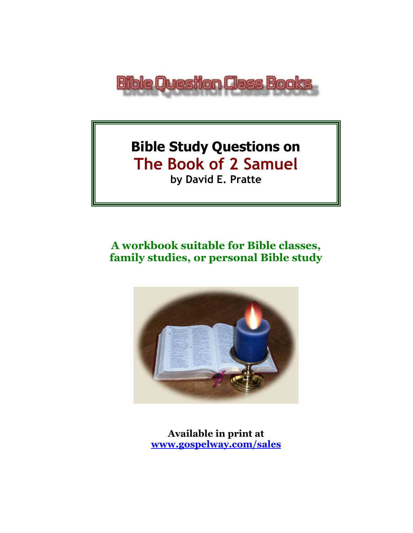

# **Bible Study Questions on The Book of 2 Samuel by David E. Pratte**

# **A workbook suitable for Bible classes, family studies, or personal Bible study**



**Available in print at [www.gospelway.com/sales](https://www.gospelway.com/sales)**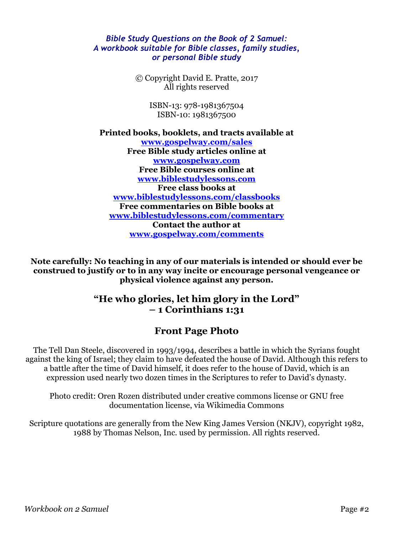#### *Bible Study Questions on the Book of 2 Samuel: A workbook suitable for Bible classes, family studies, or personal Bible study*

© Copyright David E. Pratte, 2017 All rights reserved

> ISBN-13: 978-1981367504 ISBN-10: 1981367500

**Printed books, booklets, and tracts available at [www.gospelway.com/sales](https://www.gospelway.com/sales) Free Bible study articles online at [www.gospelway.com](http://www.gospelway.com/) Free Bible courses online at [www.biblestudylessons.com](http://www.biblestudylessons.com/) Free class books at [www.biblestudylessons.com/classbooks](http://www.biblestudylessons.com/classbooks) Free commentaries on Bible books at [www.biblestudylessons.com/commentary](https://www.biblestudylessons.com/commentary) Contact the author at [www.gospelway.com/comments](http://www.gospelway.com/comments)**

**Note carefully: No teaching in any of our materials is intended or should ever be construed to justify or to in any way incite or encourage personal vengeance or physical violence against any person.**

#### **"He who glories, let him glory in the Lord" – 1 Corinthians 1:31**

### **Front Page Photo**

The Tell Dan Steele, discovered in 1993/1994, describes a battle in which the Syrians fought against the king of Israel; they claim to have defeated the house of David. Although this refers to a battle after the time of David himself, it does refer to the house of David, which is an expression used nearly two dozen times in the Scriptures to refer to David's dynasty.

Photo credit: Oren Rozen distributed under creative commons license or GNU free documentation license, via Wikimedia Commons

Scripture quotations are generally from the New King James Version (NKJV), copyright 1982, 1988 by Thomas Nelson, Inc. used by permission. All rights reserved.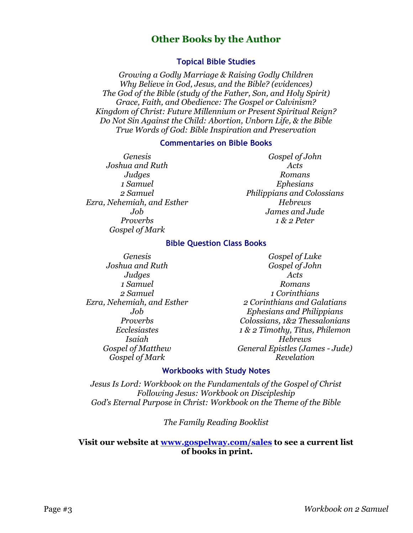#### **Other Books by the Author**

#### **Topical Bible Studies**

*Growing a Godly Marriage & Raising Godly Children Why Believe in God, Jesus, and the Bible? (evidences) The God of the Bible (study of the Father, Son, and Holy Spirit) Grace, Faith, and Obedience: The Gospel or Calvinism? Kingdom of Christ: Future Millennium or Present Spiritual Reign? Do Not Sin Against the Child: Abortion, Unborn Life, & the Bible True Words of God: Bible Inspiration and Preservation*

#### **Commentaries on Bible Books**

*Genesis Joshua and Ruth Judges 1 Samuel 2 Samuel Ezra, Nehemiah, and Esther Job Proverbs Gospel of Mark* 

*Gospel of John Acts Romans Ephesians Philippians and Colossians Hebrews James and Jude 1 & 2 Peter*

#### **Bible Question Class Books**

*Genesis Joshua and Ruth Judges 1 Samuel 2 Samuel Ezra, Nehemiah, and Esther Job Proverbs Ecclesiastes Isaiah Gospel of Matthew Gospel of Mark*

*Gospel of Luke Gospel of John Acts Romans 1 Corinthians 2 Corinthians and Galatians Ephesians and Philippians Colossians, 1&2 Thessalonians 1 & 2 Timothy, Titus, Philemon Hebrews General Epistles (James - Jude) Revelation*

#### **Workbooks with Study Notes**

*Jesus Is Lord: Workbook on the Fundamentals of the Gospel of Christ Following Jesus: Workbook on Discipleship God's Eternal Purpose in Christ: Workbook on the Theme of the Bible*

*The Family Reading Booklist*

#### **Visit our website at [www.gospelway.com/sales](https://www.gospelway.com/sales) to see a current list of books in print.**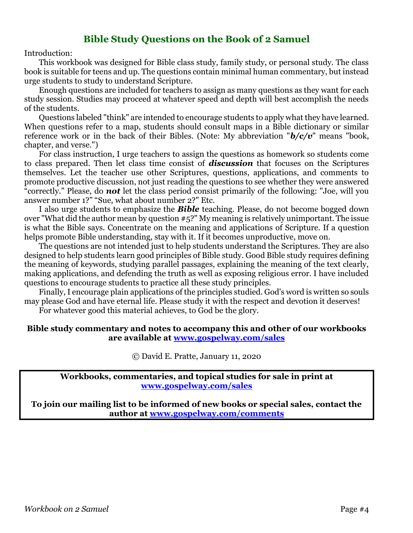#### **Bible Study Questions on the Book of 2 Samuel**

Introduction:

This workbook was designed for Bible class study, family study, or personal study. The class book is suitable for teens and up. The questions contain minimal human commentary, but instead urge students to study to understand Scripture.

Enough questions are included for teachers to assign as many questions as they want for each study session. Studies may proceed at whatever speed and depth will best accomplish the needs of the students.

Questions labeled "think" are intended to encourage students to apply what they have learned. When questions refer to a map, students should consult maps in a Bible dictionary or similar reference work or in the back of their Bibles. (Note: My abbreviation "*b/c/v*" means "book, chapter, and verse.")

For class instruction, I urge teachers to assign the questions as homework so students come to class prepared. Then let class time consist of *discussion* that focuses on the Scriptures themselves. Let the teacher use other Scriptures, questions, applications, and comments to promote productive discussion, not just reading the questions to see whether they were answered "correctly." Please, do *not* let the class period consist primarily of the following: "Joe, will you answer number 1?" "Sue, what about number 2?" Etc.

I also urge students to emphasize the *Bible* teaching. Please, do not become bogged down over "What did the author mean by question #5?" My meaning is relatively unimportant. The issue is what the Bible says. Concentrate on the meaning and applications of Scripture. If a question helps promote Bible understanding, stay with it. If it becomes unproductive, move on.

The questions are not intended just to help students understand the Scriptures. They are also designed to help students learn good principles of Bible study. Good Bible study requires defining the meaning of keywords, studying parallel passages, explaining the meaning of the text clearly, making applications, and defending the truth as well as exposing religious error. I have included questions to encourage students to practice all these study principles.

Finally, I encourage plain applications of the principles studied. God's word is written so souls may please God and have eternal life. Please study it with the respect and devotion it deserves!

For whatever good this material achieves, to God be the glory.

#### **Bible study commentary and notes to accompany this and other of our workbooks are available at [www.gospelway.com/sales](https://www.gospelway.com/sales)**

© David E. Pratte, January 11, 2020

**Workbooks, commentaries, and topical studies for sale in print at [www.gospelway.com/sales](https://www.gospelway.com/sales)**

**To join our mailing list to be informed of new books or special sales, contact the author at [www.gospelway.com/comments](http://www.gospelway.com/comments)**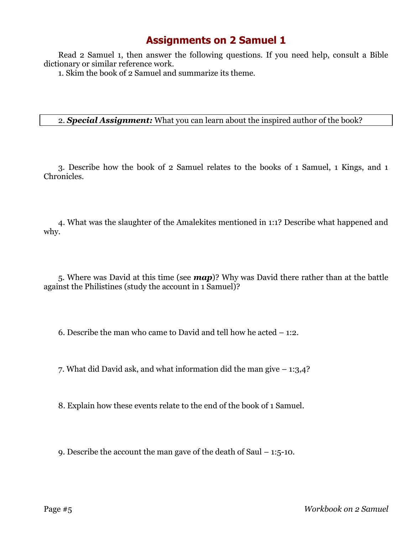Read 2 Samuel 1, then answer the following questions. If you need help, consult a Bible dictionary or similar reference work.

1. Skim the book of 2 Samuel and summarize its theme.

#### 2. *Special Assignment:* What you can learn about the inspired author of the book?

3. Describe how the book of 2 Samuel relates to the books of 1 Samuel, 1 Kings, and 1 Chronicles.

4. What was the slaughter of the Amalekites mentioned in 1:1? Describe what happened and why.

5. Where was David at this time (see *map*)? Why was David there rather than at the battle against the Philistines (study the account in 1 Samuel)?

6. Describe the man who came to David and tell how he acted – 1:2.

7. What did David ask, and what information did the man give – 1:3,4?

8. Explain how these events relate to the end of the book of 1 Samuel.

9. Describe the account the man gave of the death of Saul – 1:5-10.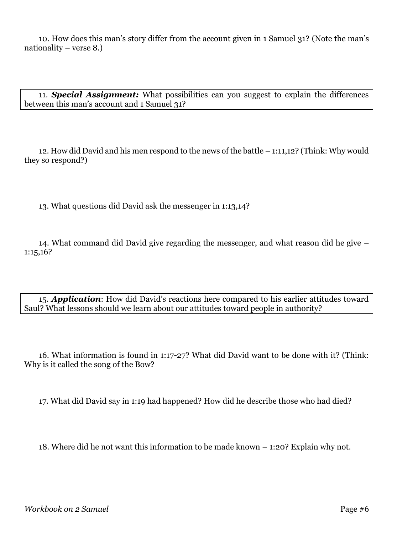10. How does this man's story differ from the account given in 1 Samuel 31? (Note the man's nationality – verse 8.)

11. *Special Assignment:* What possibilities can you suggest to explain the differences between this man's account and 1 Samuel 31?

12. How did David and his men respond to the news of the battle – 1:11,12? (Think: Why would they so respond?)

13. What questions did David ask the messenger in 1:13,14?

14. What command did David give regarding the messenger, and what reason did he give – 1:15,16?

15. *Application*: How did David's reactions here compared to his earlier attitudes toward Saul? What lessons should we learn about our attitudes toward people in authority?

16. What information is found in 1:17-27? What did David want to be done with it? (Think: Why is it called the song of the Bow?

17. What did David say in 1:19 had happened? How did he describe those who had died?

18. Where did he not want this information to be made known – 1:20? Explain why not.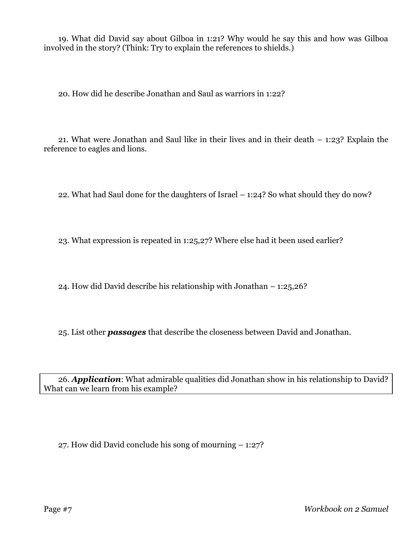19. What did David say about Gilboa in 1:21? Why would he say this and how was Gilboa involved in the story? (Think: Try to explain the references to shields.)

20. How did he describe Jonathan and Saul as warriors in 1:22?

21. What were Jonathan and Saul like in their lives and in their death – 1:23? Explain the reference to eagles and lions.

22. What had Saul done for the daughters of Israel – 1:24? So what should they do now?

23. What expression is repeated in 1:25,27? Where else had it been used earlier?

24. How did David describe his relationship with Jonathan – 1:25,26?

25. List other *passages* that describe the closeness between David and Jonathan.

26. *Application*: What admirable qualities did Jonathan show in his relationship to David? What can we learn from his example?

27. How did David conclude his song of mourning – 1:27?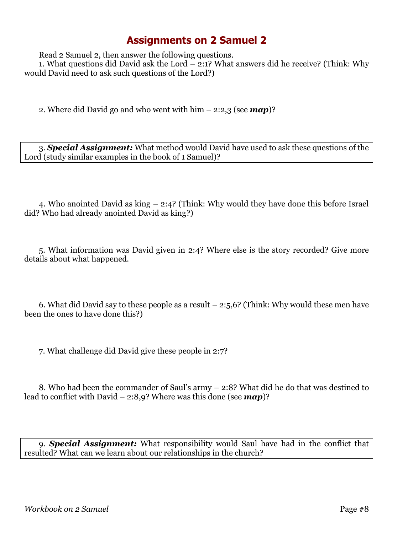Read 2 Samuel 2, then answer the following questions.

1. What questions did David ask the Lord – 2:1? What answers did he receive? (Think: Why would David need to ask such questions of the Lord?)

2. Where did David go and who went with him – 2:2,3 (see *map*)?

3. *Special Assignment:* What method would David have used to ask these questions of the Lord (study similar examples in the book of 1 Samuel)?

4. Who anointed David as king – 2:4? (Think: Why would they have done this before Israel did? Who had already anointed David as king?)

5. What information was David given in 2:4? Where else is the story recorded? Give more details about what happened.

6. What did David say to these people as a result – 2:5,6? (Think: Why would these men have been the ones to have done this?)

7. What challenge did David give these people in 2:7?

8. Who had been the commander of Saul's army – 2:8? What did he do that was destined to lead to conflict with David – 2:8,9? Where was this done (see *map*)?

9. *Special Assignment:* What responsibility would Saul have had in the conflict that resulted? What can we learn about our relationships in the church?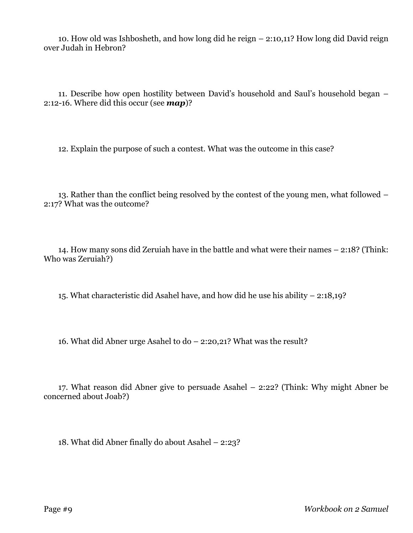10. How old was Ishbosheth, and how long did he reign – 2:10,11? How long did David reign over Judah in Hebron?

11. Describe how open hostility between David's household and Saul's household began – 2:12-16. Where did this occur (see *map*)?

12. Explain the purpose of such a contest. What was the outcome in this case?

13. Rather than the conflict being resolved by the contest of the young men, what followed – 2:17? What was the outcome?

14. How many sons did Zeruiah have in the battle and what were their names – 2:18? (Think: Who was Zeruiah?)

15. What characteristic did Asahel have, and how did he use his ability – 2:18,19?

16. What did Abner urge Asahel to do – 2:20,21? What was the result?

17. What reason did Abner give to persuade Asahel – 2:22? (Think: Why might Abner be concerned about Joab?)

18. What did Abner finally do about Asahel – 2:23?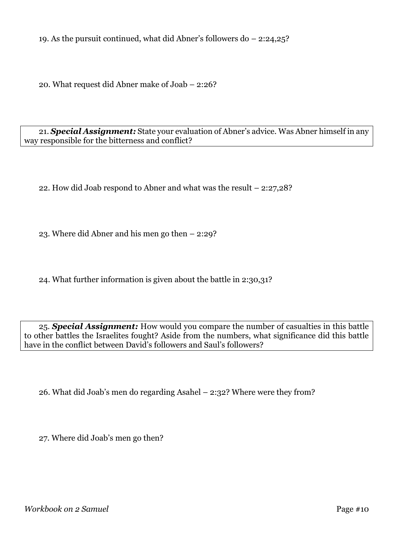19. As the pursuit continued, what did Abner's followers do – 2:24,25?

20. What request did Abner make of Joab – 2:26?

21. *Special Assignment:* State your evaluation of Abner's advice. Was Abner himself in any way responsible for the bitterness and conflict?

22. How did Joab respond to Abner and what was the result – 2:27,28?

23. Where did Abner and his men go then – 2:29?

24. What further information is given about the battle in 2:30,31?

25. *Special Assignment:* How would you compare the number of casualties in this battle to other battles the Israelites fought? Aside from the numbers, what significance did this battle have in the conflict between David's followers and Saul's followers?

26. What did Joab's men do regarding Asahel – 2:32? Where were they from?

27. Where did Joab's men go then?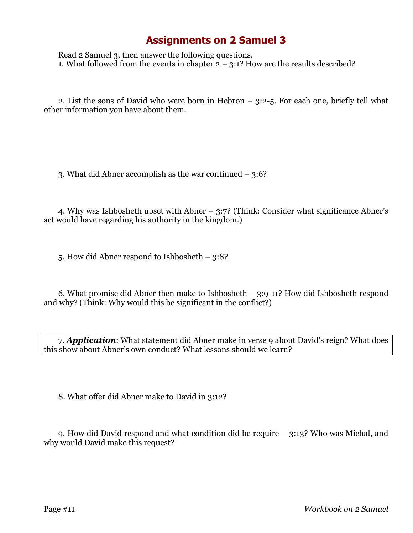Read 2 Samuel 3, then answer the following questions. 1. What followed from the events in chapter  $2 - 3:1$ ? How are the results described?

2. List the sons of David who were born in Hebron – 3:2-5. For each one, briefly tell what other information you have about them.

3. What did Abner accomplish as the war continued – 3:6?

4. Why was Ishbosheth upset with Abner – 3:7? (Think: Consider what significance Abner's act would have regarding his authority in the kingdom.)

5. How did Abner respond to Ishbosheth – 3:8?

6. What promise did Abner then make to Ishbosheth – 3:9-11? How did Ishbosheth respond and why? (Think: Why would this be significant in the conflict?)

7. *Application*: What statement did Abner make in verse 9 about David's reign? What does this show about Abner's own conduct? What lessons should we learn?

8. What offer did Abner make to David in 3:12?

9. How did David respond and what condition did he require – 3:13? Who was Michal, and why would David make this request?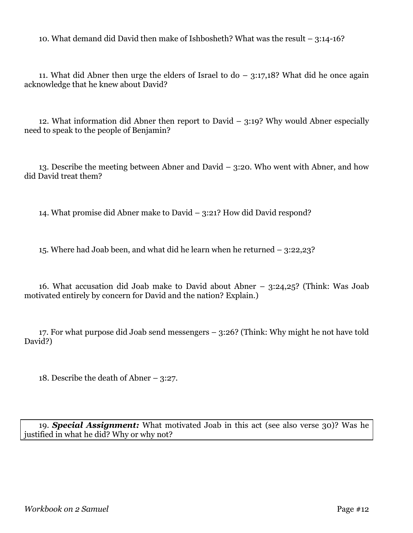10. What demand did David then make of Ishbosheth? What was the result – 3:14-16?

11. What did Abner then urge the elders of Israel to  $d_0 - 3:17,18$ ? What did he once again acknowledge that he knew about David?

12. What information did Abner then report to David – 3:19? Why would Abner especially need to speak to the people of Benjamin?

13. Describe the meeting between Abner and David – 3:20. Who went with Abner, and how did David treat them?

14. What promise did Abner make to David – 3:21? How did David respond?

15. Where had Joab been, and what did he learn when he returned – 3:22,23?

16. What accusation did Joab make to David about Abner – 3:24,25? (Think: Was Joab motivated entirely by concern for David and the nation? Explain.)

17. For what purpose did Joab send messengers – 3:26? (Think: Why might he not have told David?)

18. Describe the death of Abner – 3:27.

19. *Special Assignment:* What motivated Joab in this act (see also verse 30)? Was he justified in what he did? Why or why not?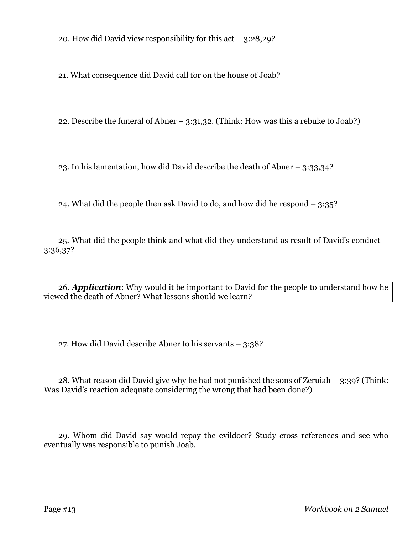20. How did David view responsibility for this act – 3:28,29?

21. What consequence did David call for on the house of Joab?

22. Describe the funeral of Abner – 3:31,32. (Think: How was this a rebuke to Joab?)

23. In his lamentation, how did David describe the death of Abner – 3:33,34?

24. What did the people then ask David to do, and how did he respond – 3:35?

25. What did the people think and what did they understand as result of David's conduct – 3:36,37?

26. *Application*: Why would it be important to David for the people to understand how he viewed the death of Abner? What lessons should we learn?

27. How did David describe Abner to his servants – 3:38?

28. What reason did David give why he had not punished the sons of Zeruiah – 3:39? (Think: Was David's reaction adequate considering the wrong that had been done?)

29. Whom did David say would repay the evildoer? Study cross references and see who eventually was responsible to punish Joab.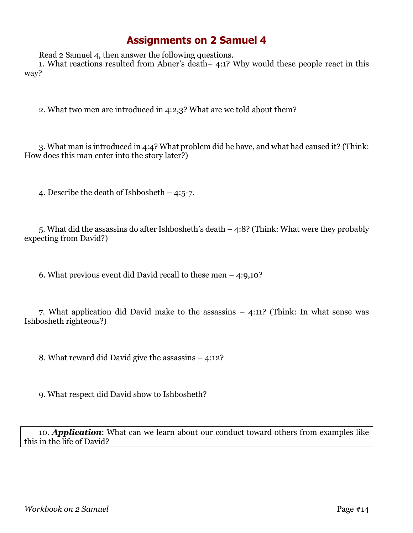Read 2 Samuel 4, then answer the following questions.

1. What reactions resulted from Abner's death– 4:1? Why would these people react in this way?

2. What two men are introduced in 4:2,3? What are we told about them?

3. What man is introduced in 4:4? What problem did he have, and what had caused it? (Think: How does this man enter into the story later?)

4. Describe the death of Ishbosheth – 4:5-7.

5. What did the assassins do after Ishbosheth's death – 4:8? (Think: What were they probably expecting from David?)

6. What previous event did David recall to these men – 4:9,10?

7. What application did David make to the assassins – 4:11? (Think: In what sense was Ishbosheth righteous?)

8. What reward did David give the assassins – 4:12?

9. What respect did David show to Ishbosheth?

10. *Application*: What can we learn about our conduct toward others from examples like this in the life of David?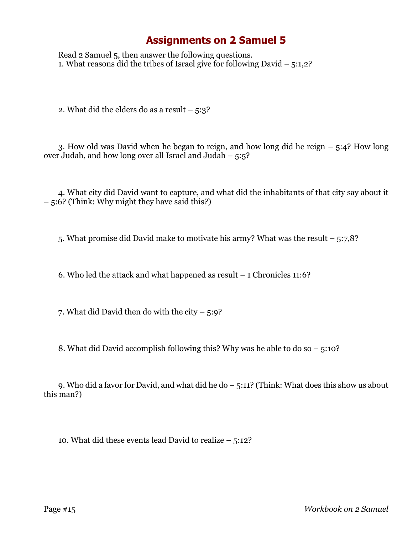Read 2 Samuel 5, then answer the following questions. 1. What reasons did the tribes of Israel give for following David  $-5:1,2$ ?

2. What did the elders do as a result  $-5:3$ ?

3. How old was David when he began to reign, and how long did he reign – 5:4? How long over Judah, and how long over all Israel and Judah – 5:5?

4. What city did David want to capture, and what did the inhabitants of that city say about it – 5:6? (Think: Why might they have said this?)

5. What promise did David make to motivate his army? What was the result – 5:7,8?

6. Who led the attack and what happened as result – 1 Chronicles 11:6?

7. What did David then do with the city  $-5:9$ ?

8. What did David accomplish following this? Why was he able to do so – 5:10?

9. Who did a favor for David, and what did he do – 5:11? (Think: What does this show us about this man?)

10. What did these events lead David to realize – 5:12?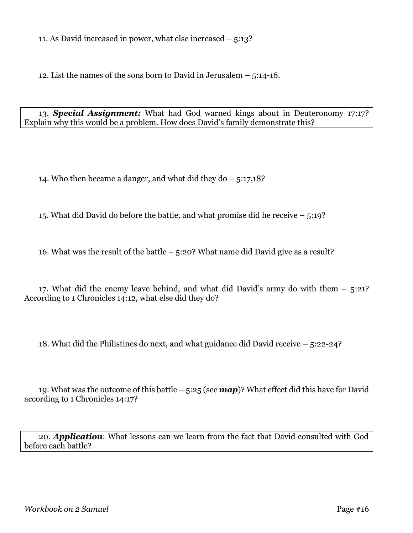11. As David increased in power, what else increased – 5:13?

12. List the names of the sons born to David in Jerusalem – 5:14-16.

13. *Special Assignment:* What had God warned kings about in Deuteronomy 17:17? Explain why this would be a problem. How does David's family demonstrate this?

14. Who then became a danger, and what did they do – 5:17,18?

15. What did David do before the battle, and what promise did he receive – 5:19?

16. What was the result of the battle – 5:20? What name did David give as a result?

17. What did the enemy leave behind, and what did David's army do with them – 5:21? According to 1 Chronicles 14:12, what else did they do?

18. What did the Philistines do next, and what guidance did David receive – 5:22-24?

19. What was the outcome of this battle – 5:25 (see *map*)? What effect did this have for David according to 1 Chronicles 14:17?

20. *Application*: What lessons can we learn from the fact that David consulted with God before each battle?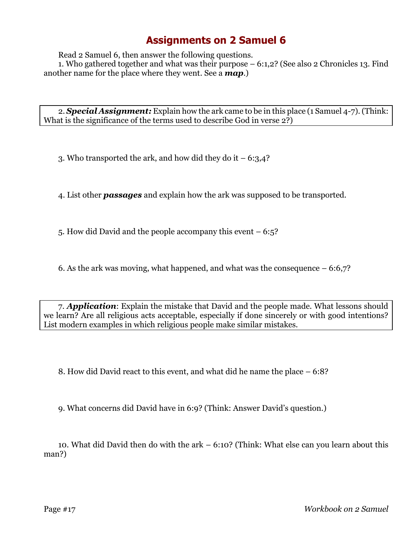Read 2 Samuel 6, then answer the following questions.

1. Who gathered together and what was their purpose – 6:1,2? (See also 2 Chronicles 13. Find another name for the place where they went. See a *map*.)

2. *Special Assignment:* Explain how the ark came to be in this place (1 Samuel 4-7).(Think: What is the significance of the terms used to describe God in verse 2?)

3. Who transported the ark, and how did they do it  $-6:3,4$ ?

4. List other *passages* and explain how the ark was supposed to be transported.

5. How did David and the people accompany this event – 6:5?

6. As the ark was moving, what happened, and what was the consequence  $-6:6,7$ ?

7. *Application*: Explain the mistake that David and the people made. What lessons should we learn? Are all religious acts acceptable, especially if done sincerely or with good intentions? List modern examples in which religious people make similar mistakes.

8. How did David react to this event, and what did he name the place – 6:8?

9. What concerns did David have in 6:9? (Think: Answer David's question.)

10. What did David then do with the ark – 6:10? (Think: What else can you learn about this man?)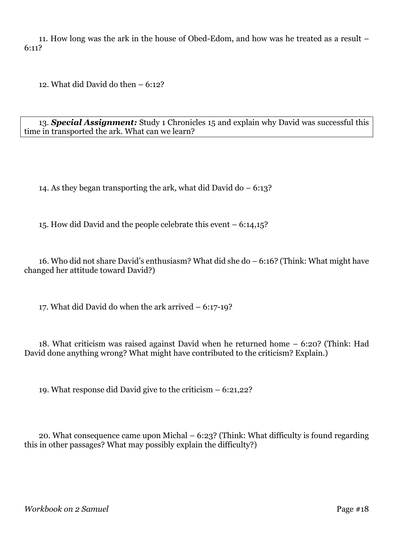11. How long was the ark in the house of Obed-Edom, and how was he treated as a result – 6:11?

12. What did David do then – 6:12?

13. *Special Assignment:* Study 1 Chronicles 15 and explain why David was successful this time in transported the ark. What can we learn?

14. As they began transporting the ark, what did David do – 6:13?

15. How did David and the people celebrate this event – 6:14,15?

16. Who did not share David's enthusiasm? What did she do – 6:16? (Think: What might have changed her attitude toward David?)

17. What did David do when the ark arrived – 6:17-19?

18. What criticism was raised against David when he returned home – 6:20? (Think: Had David done anything wrong? What might have contributed to the criticism? Explain.)

19. What response did David give to the criticism – 6:21,22?

20. What consequence came upon Michal – 6:23? (Think: What difficulty is found regarding this in other passages? What may possibly explain the difficulty?)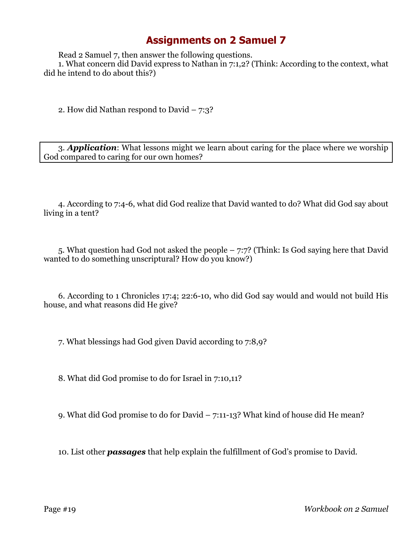Read 2 Samuel 7, then answer the following questions.

1. What concern did David express to Nathan in 7:1,2? (Think: According to the context, what did he intend to do about this?)

2. How did Nathan respond to David – 7:3?

3. *Application*: What lessons might we learn about caring for the place where we worship God compared to caring for our own homes?

4. According to 7:4-6, what did God realize that David wanted to do? What did God say about living in a tent?

5. What question had God not asked the people – 7:7? (Think: Is God saying here that David wanted to do something unscriptural? How do you know?)

6. According to 1 Chronicles 17:4; 22:6-10, who did God say would and would not build His house, and what reasons did He give?

7. What blessings had God given David according to 7:8,9?

8. What did God promise to do for Israel in 7:10,11?

9. What did God promise to do for David – 7:11-13? What kind of house did He mean?

10. List other *passages* that help explain the fulfillment of God's promise to David.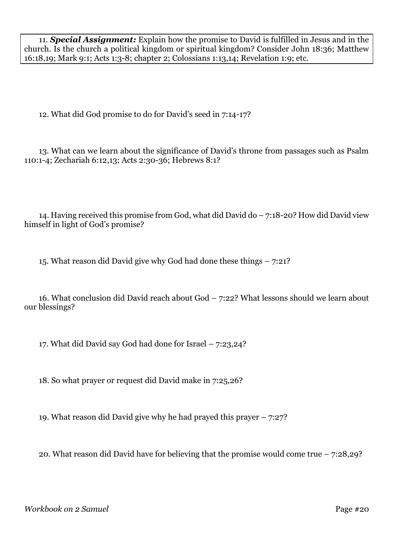11. *Special Assignment:* Explain how the promise to David is fulfilled in Jesus and in the church. Is the church a political kingdom or spiritual kingdom? Consider John 18:36; Matthew 16:18,19; Mark 9:1; Acts 1:3-8; chapter 2; Colossians 1:13,14; Revelation 1:9; etc.

12. What did God promise to do for David's seed in 7:14-17?

13. What can we learn about the significance of David's throne from passages such as Psalm 110:1-4; Zechariah 6:12,13; Acts 2:30-36; Hebrews 8:1?

14. Having received this promise from God, what did David do – 7:18-20? How did David view himself in light of God's promise?

15. What reason did David give why God had done these things – 7:21?

16. What conclusion did David reach about God – 7:22? What lessons should we learn about our blessings?

17. What did David say God had done for Israel – 7:23,24?

18. So what prayer or request did David make in 7:25,26?

19. What reason did David give why he had prayed this prayer – 7:27?

20. What reason did David have for believing that the promise would come true – 7:28,29?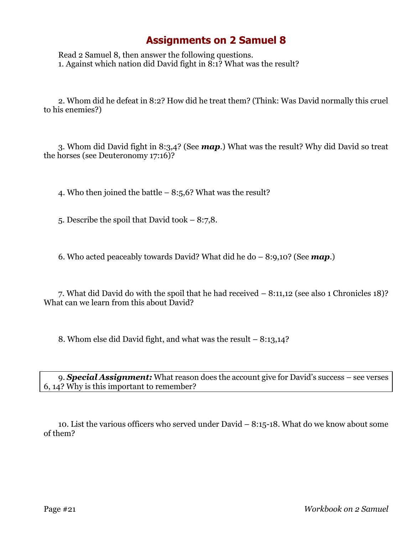Read 2 Samuel 8, then answer the following questions. 1. Against which nation did David fight in 8:1? What was the result?

2. Whom did he defeat in 8:2? How did he treat them? (Think: Was David normally this cruel to his enemies?)

3. Whom did David fight in 8:3,4? (See *map*.) What was the result? Why did David so treat the horses (see Deuteronomy 17:16)?

4. Who then joined the battle – 8:5,6? What was the result?

5. Describe the spoil that David took – 8:7,8.

6. Who acted peaceably towards David? What did he do – 8:9,10? (See *map*.)

7. What did David do with the spoil that he had received – 8:11,12 (see also 1 Chronicles 18)? What can we learn from this about David?

8. Whom else did David fight, and what was the result – 8:13,14?

9. *Special Assignment:* What reason does the account give for David's success – see verses 6, 14? Why is this important to remember?

10. List the various officers who served under David – 8:15-18. What do we know about some of them?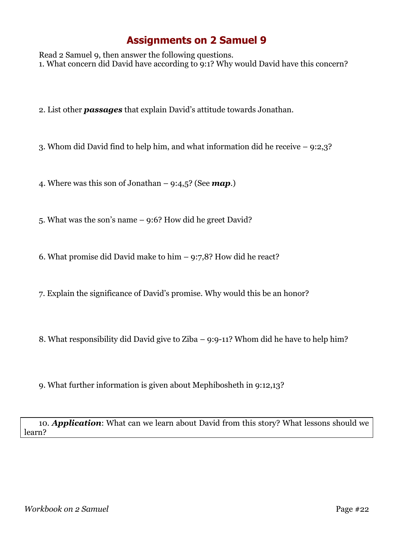Read 2 Samuel 9, then answer the following questions. 1. What concern did David have according to 9:1? Why would David have this concern?

2. List other *passages* that explain David's attitude towards Jonathan.

3. Whom did David find to help him, and what information did he receive – 9:2,3?

4. Where was this son of Jonathan – 9:4,5? (See *map*.)

5. What was the son's name – 9:6? How did he greet David?

6. What promise did David make to him – 9:7,8? How did he react?

7. Explain the significance of David's promise. Why would this be an honor?

8. What responsibility did David give to Ziba – 9:9-11? Whom did he have to help him?

9. What further information is given about Mephibosheth in 9:12,13?

10. *Application*: What can we learn about David from this story? What lessons should we learn?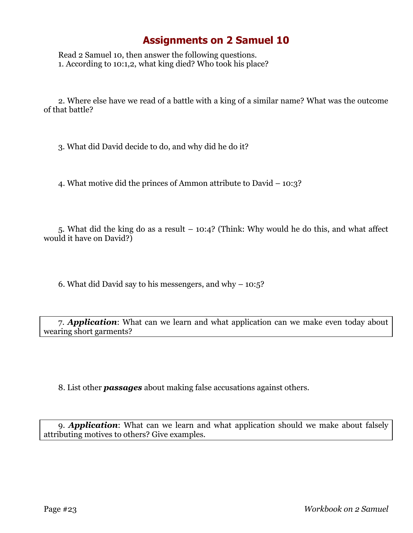Read 2 Samuel 10, then answer the following questions. 1. According to 10:1,2, what king died? Who took his place?

2. Where else have we read of a battle with a king of a similar name? What was the outcome of that battle?

3. What did David decide to do, and why did he do it?

4. What motive did the princes of Ammon attribute to David – 10:3?

5. What did the king do as a result – 10:4? (Think: Why would he do this, and what affect would it have on David?)

6. What did David say to his messengers, and why – 10:5?

7. *Application*: What can we learn and what application can we make even today about wearing short garments?

8. List other *passages* about making false accusations against others.

9. *Application*: What can we learn and what application should we make about falsely attributing motives to others? Give examples.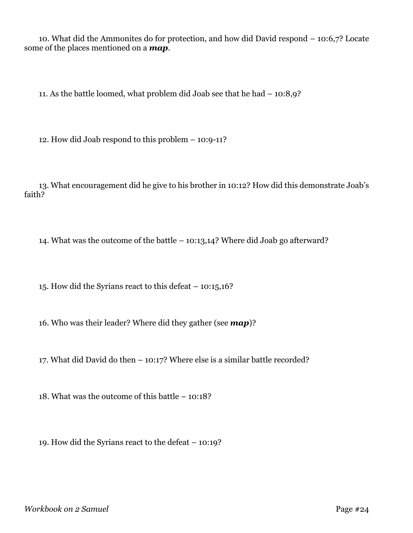10. What did the Ammonites do for protection, and how did David respond – 10:6,7? Locate some of the places mentioned on a *map*.

11. As the battle loomed, what problem did Joab see that he had – 10:8,9?

12. How did Joab respond to this problem – 10:9-11?

13. What encouragement did he give to his brother in 10:12? How did this demonstrate Joab's faith?

14. What was the outcome of the battle – 10:13,14? Where did Joab go afterward?

15. How did the Syrians react to this defeat – 10:15,16?

16. Who was their leader? Where did they gather (see *map*)?

17. What did David do then – 10:17? Where else is a similar battle recorded?

18. What was the outcome of this battle – 10:18?

19. How did the Syrians react to the defeat – 10:19?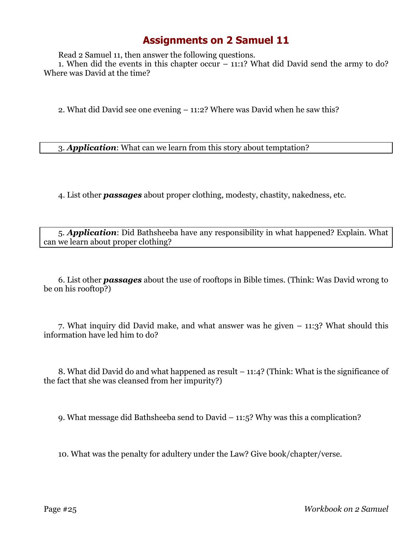Read 2 Samuel 11, then answer the following questions.

1. When did the events in this chapter occur – 11:1? What did David send the army to do? Where was David at the time?

2. What did David see one evening – 11:2? Where was David when he saw this?

3. *Application*: What can we learn from this story about temptation?

4. List other *passages* about proper clothing, modesty, chastity, nakedness, etc.

5. *Application*: Did Bathsheeba have any responsibility in what happened? Explain. What can we learn about proper clothing?

6. List other *passages* about the use of rooftops in Bible times. (Think: Was David wrong to be on his rooftop?)

7. What inquiry did David make, and what answer was he given – 11:3? What should this information have led him to do?

8. What did David do and what happened as result – 11:4? (Think: What is the significance of the fact that she was cleansed from her impurity?)

9. What message did Bathsheeba send to David – 11:5? Why was this a complication?

10. What was the penalty for adultery under the Law? Give book/chapter/verse.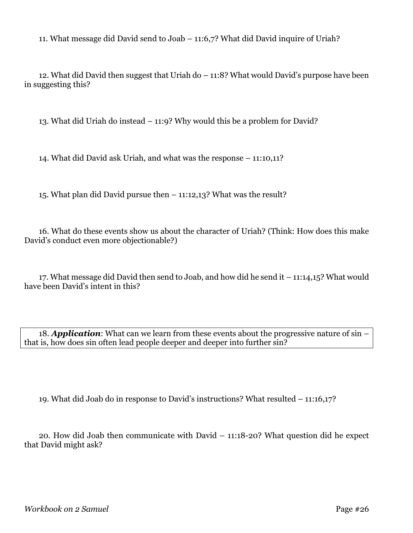11. What message did David send to Joab – 11:6,7? What did David inquire of Uriah?

12. What did David then suggest that Uriah do – 11:8? What would David's purpose have been in suggesting this?

13. What did Uriah do instead – 11:9? Why would this be a problem for David?

14. What did David ask Uriah, and what was the response – 11:10,11?

15. What plan did David pursue then – 11:12,13? What was the result?

16. What do these events show us about the character of Uriah? (Think: How does this make David's conduct even more objectionable?)

17. What message did David then send to Joab, and how did he send it – 11:14,15? What would have been David's intent in this?

18. *Application*: What can we learn from these events about the progressive nature of sin – that is, how does sin often lead people deeper and deeper into further sin?

19. What did Joab do in response to David's instructions? What resulted – 11:16,17?

20. How did Joab then communicate with David – 11:18-20? What question did he expect that David might ask?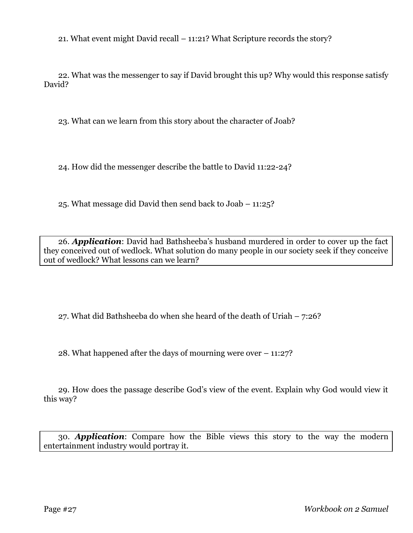21. What event might David recall – 11:21? What Scripture records the story?

22. What was the messenger to say if David brought this up? Why would this response satisfy David?

23. What can we learn from this story about the character of Joab?

24. How did the messenger describe the battle to David 11:22-24?

25. What message did David then send back to Joab – 11:25?

26. *Application*: David had Bathsheeba's husband murdered in order to cover up the fact they conceived out of wedlock. What solution do many people in our society seek if they conceive out of wedlock? What lessons can we learn?

27. What did Bathsheeba do when she heard of the death of Uriah – 7:26?

28. What happened after the days of mourning were over – 11:27?

29. How does the passage describe God's view of the event. Explain why God would view it this way?

30. *Application*: Compare how the Bible views this story to the way the modern entertainment industry would portray it.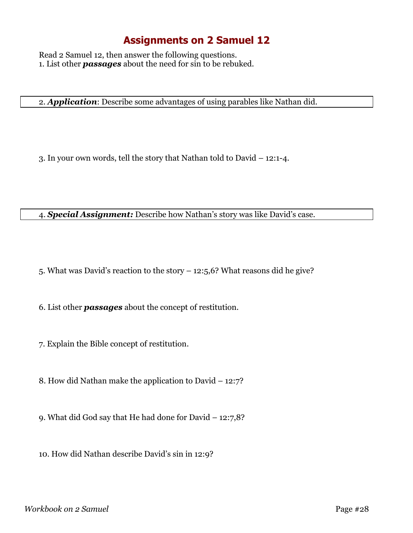Read 2 Samuel 12, then answer the following questions. 1. List other *passages* about the need for sin to be rebuked.

2. *Application*: Describe some advantages of using parables like Nathan did.

3. In your own words, tell the story that Nathan told to David – 12:1-4.

4. *Special Assignment:* Describe how Nathan's story was like David's case.

5. What was David's reaction to the story – 12:5,6? What reasons did he give?

6. List other *passages* about the concept of restitution.

7. Explain the Bible concept of restitution.

8. How did Nathan make the application to David – 12:7?

9. What did God say that He had done for David – 12:7,8?

10. How did Nathan describe David's sin in 12:9?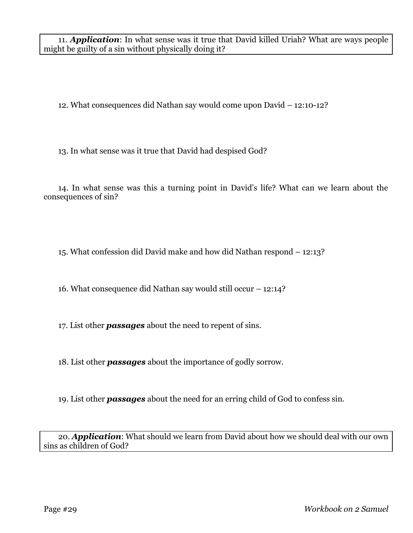11. *Application*: In what sense was it true that David killed Uriah? What are ways people might be guilty of a sin without physically doing it?

12. What consequences did Nathan say would come upon David – 12:10-12?

13. In what sense was it true that David had despised God?

14. In what sense was this a turning point in David's life? What can we learn about the consequences of sin?

15. What confession did David make and how did Nathan respond – 12:13?

16. What consequence did Nathan say would still occur – 12:14?

17. List other *passages* about the need to repent of sins.

18. List other *passages* about the importance of godly sorrow.

19. List other *passages* about the need for an erring child of God to confess sin.

20. *Application*: What should we learn from David about how we should deal with our own sins as children of God?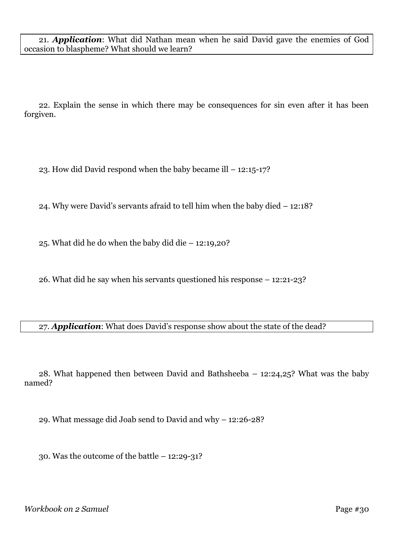21. *Application*: What did Nathan mean when he said David gave the enemies of God occasion to blaspheme? What should we learn?

22. Explain the sense in which there may be consequences for sin even after it has been forgiven.

23. How did David respond when the baby became ill – 12:15-17?

24. Why were David's servants afraid to tell him when the baby died – 12:18?

25. What did he do when the baby did die – 12:19,20?

26. What did he say when his servants questioned his response – 12:21-23?

#### 27. *Application*: What does David's response show about the state of the dead?

28. What happened then between David and Bathsheeba – 12:24,25? What was the baby named?

29. What message did Joab send to David and why – 12:26-28?

30. Was the outcome of the battle – 12:29-31?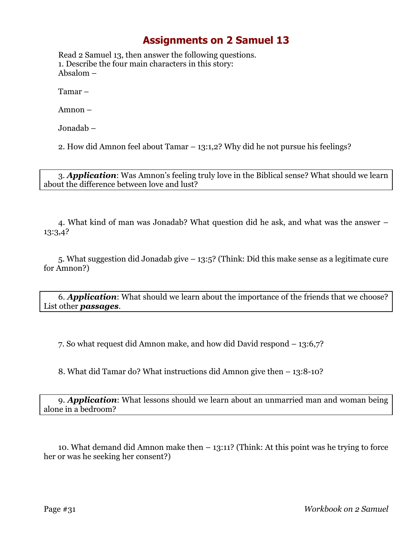Read 2 Samuel 13, then answer the following questions. 1. Describe the four main characters in this story: Absalom –

Tamar –

Amnon –

Jonadab –

2. How did Amnon feel about Tamar – 13:1,2? Why did he not pursue his feelings?

3. *Application*: Was Amnon's feeling truly love in the Biblical sense? What should we learn about the difference between love and lust?

4. What kind of man was Jonadab? What question did he ask, and what was the answer – 13:3,4?

5. What suggestion did Jonadab give – 13:5? (Think: Did this make sense as a legitimate cure for Amnon?)

6. *Application*: What should we learn about the importance of the friends that we choose? List other *passages*.

7. So what request did Amnon make, and how did David respond – 13:6,7?

8. What did Tamar do? What instructions did Amnon give then – 13:8-10?

9. *Application*: What lessons should we learn about an unmarried man and woman being alone in a bedroom?

10. What demand did Amnon make then – 13:11? (Think: At this point was he trying to force her or was he seeking her consent?)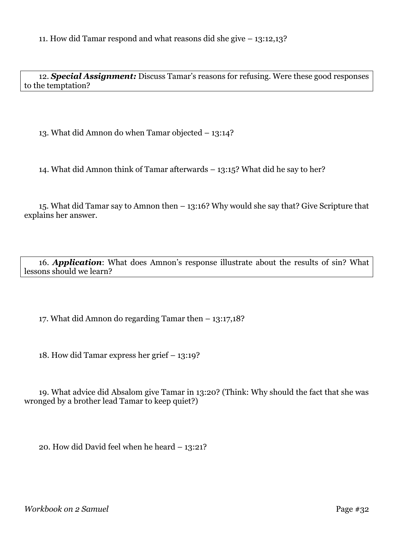12. *Special Assignment:* Discuss Tamar's reasons for refusing. Were these good responses to the temptation?

13. What did Amnon do when Tamar objected – 13:14?

14. What did Amnon think of Tamar afterwards – 13:15? What did he say to her?

15. What did Tamar say to Amnon then – 13:16? Why would she say that? Give Scripture that explains her answer.

16. *Application*: What does Amnon's response illustrate about the results of sin? What lessons should we learn?

17. What did Amnon do regarding Tamar then – 13:17,18?

18. How did Tamar express her grief – 13:19?

19. What advice did Absalom give Tamar in 13:20? (Think: Why should the fact that she was wronged by a brother lead Tamar to keep quiet?)

20. How did David feel when he heard – 13:21?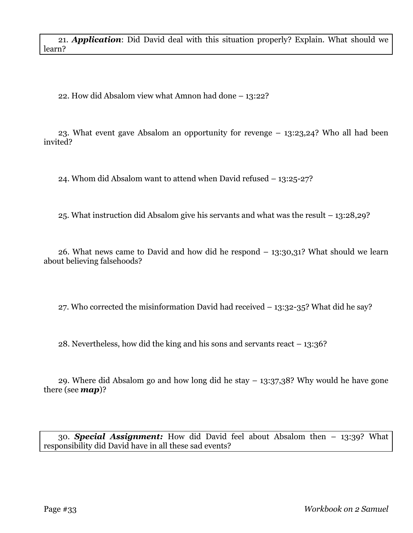21. *Application*: Did David deal with this situation properly? Explain. What should we learn?

22. How did Absalom view what Amnon had done – 13:22?

23. What event gave Absalom an opportunity for revenge – 13:23,24? Who all had been invited?

24. Whom did Absalom want to attend when David refused – 13:25-27?

25. What instruction did Absalom give his servants and what was the result – 13:28,29?

26. What news came to David and how did he respond – 13:30,31? What should we learn about believing falsehoods?

27. Who corrected the misinformation David had received – 13:32-35? What did he say?

28. Nevertheless, how did the king and his sons and servants react – 13:36?

29. Where did Absalom go and how long did he stay – 13:37,38? Why would he have gone there (see *map*)?

30. *Special Assignment:* How did David feel about Absalom then – 13:39? What responsibility did David have in all these sad events?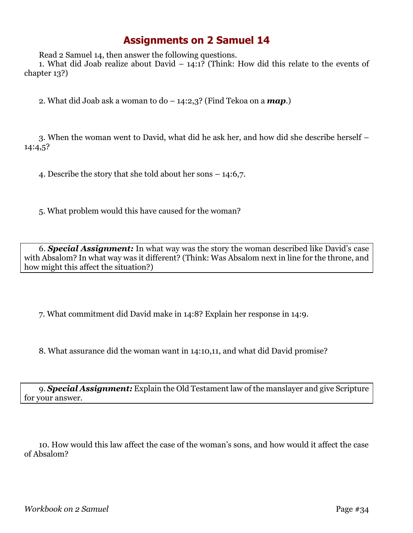Read 2 Samuel 14, then answer the following questions.

1. What did Joab realize about David  $-14:1$ ? (Think: How did this relate to the events of chapter 13?)

2. What did Joab ask a woman to do – 14:2,3? (Find Tekoa on a *map*.)

3. When the woman went to David, what did he ask her, and how did she describe herself – 14:4,5?

4. Describe the story that she told about her sons – 14:6,7.

5. What problem would this have caused for the woman?

6. *Special Assignment:* In what way was the story the woman described like David's case with Absalom? In what way was it different? (Think: Was Absalom next in line for the throne, and how might this affect the situation?)

7. What commitment did David make in 14:8? Explain her response in 14:9.

8. What assurance did the woman want in 14:10,11, and what did David promise?

9. *Special Assignment:* Explain the Old Testament law of the manslayer and give Scripture for your answer.

10. How would this law affect the case of the woman's sons, and how would it affect the case of Absalom?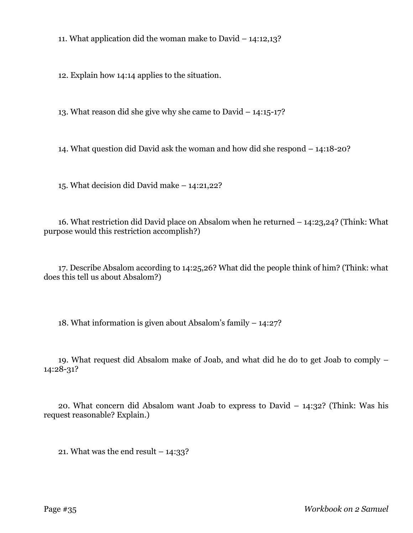11. What application did the woman make to David – 14:12,13?

12. Explain how 14:14 applies to the situation.

13. What reason did she give why she came to David – 14:15-17?

14. What question did David ask the woman and how did she respond – 14:18-20?

15. What decision did David make – 14:21,22?

16. What restriction did David place on Absalom when he returned – 14:23,24? (Think: What purpose would this restriction accomplish?)

17. Describe Absalom according to 14:25,26? What did the people think of him? (Think: what does this tell us about Absalom?)

18. What information is given about Absalom's family – 14:27?

19. What request did Absalom make of Joab, and what did he do to get Joab to comply – 14:28-31?

20. What concern did Absalom want Joab to express to David – 14:32? (Think: Was his request reasonable? Explain.)

21. What was the end result  $-14:33$ ?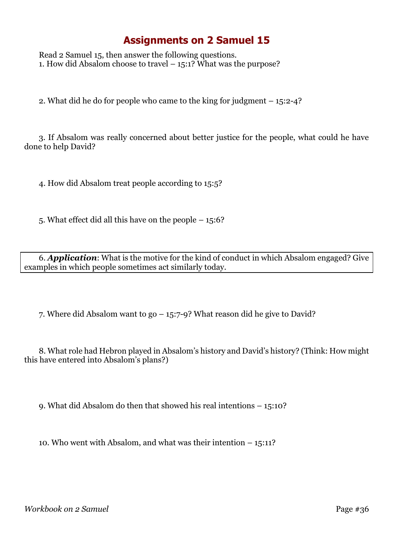Read 2 Samuel 15, then answer the following questions. 1. How did Absalom choose to travel – 15:1? What was the purpose?

2. What did he do for people who came to the king for judgment – 15:2-4?

3. If Absalom was really concerned about better justice for the people, what could he have done to help David?

4. How did Absalom treat people according to 15:5?

5. What effect did all this have on the people – 15:6?

6. *Application*: What is the motive for the kind of conduct in which Absalom engaged? Give examples in which people sometimes act similarly today.

7. Where did Absalom want to go – 15:7-9? What reason did he give to David?

8. What role had Hebron played in Absalom's history and David's history? (Think: How might this have entered into Absalom's plans?)

9. What did Absalom do then that showed his real intentions – 15:10?

10. Who went with Absalom, and what was their intention – 15:11?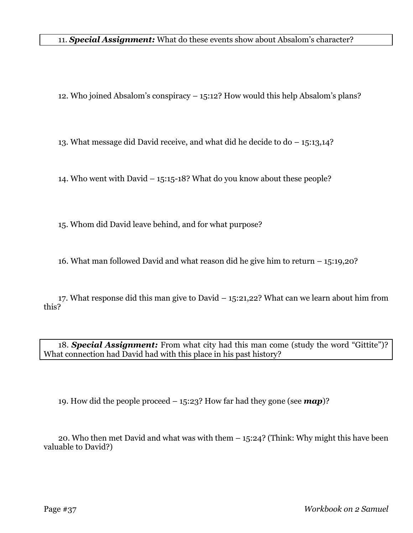11. *Special Assignment:* What do these events show about Absalom's character?

12. Who joined Absalom's conspiracy – 15:12? How would this help Absalom's plans?

13. What message did David receive, and what did he decide to do – 15:13,14?

14. Who went with David – 15:15-18? What do you know about these people?

15. Whom did David leave behind, and for what purpose?

16. What man followed David and what reason did he give him to return – 15:19,20?

17. What response did this man give to David – 15:21,22? What can we learn about him from this?

18. *Special Assignment:* From what city had this man come (study the word "Gittite")? What connection had David had with this place in his past history?

19. How did the people proceed – 15:23? How far had they gone (see *map*)?

20. Who then met David and what was with them – 15:24? (Think: Why might this have been valuable to David?)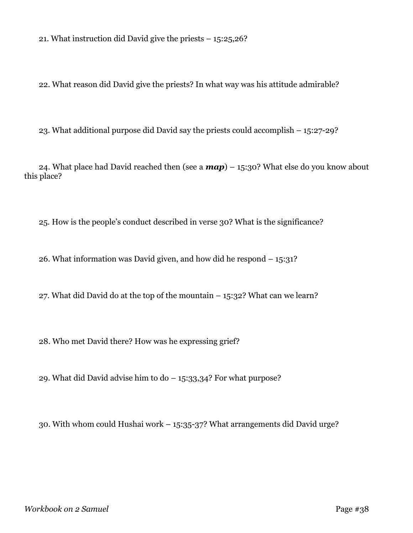21. What instruction did David give the priests – 15:25,26?

22. What reason did David give the priests? In what way was his attitude admirable?

23. What additional purpose did David say the priests could accomplish – 15:27-29?

24. What place had David reached then (see a *map*) – 15:30? What else do you know about this place?

25. How is the people's conduct described in verse 30? What is the significance?

26. What information was David given, and how did he respond – 15:31?

27. What did David do at the top of the mountain – 15:32? What can we learn?

28. Who met David there? How was he expressing grief?

29. What did David advise him to do – 15:33,34? For what purpose?

30. With whom could Hushai work – 15:35-37? What arrangements did David urge?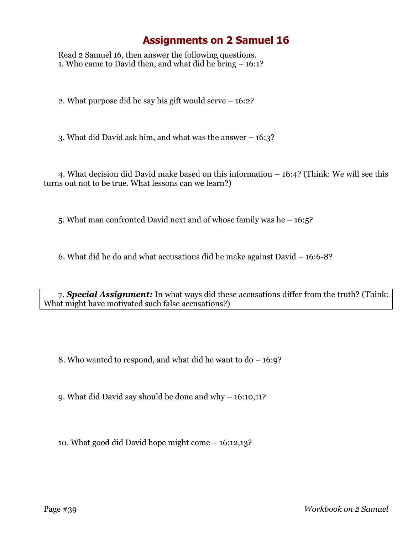Read 2 Samuel 16, then answer the following questions. 1. Who came to David then, and what did he bring – 16:1?

2. What purpose did he say his gift would serve – 16:2?

3. What did David ask him, and what was the answer – 16:3?

4. What decision did David make based on this information – 16:4? (Think: We will see this turns out not to be true. What lessons can we learn?)

5. What man confronted David next and of whose family was he – 16:5?

6. What did he do and what accusations did he make against David – 16:6-8?

7. *Special Assignment:* In what ways did these accusations differ from the truth? (Think: What might have motivated such false accusations?)

8. Who wanted to respond, and what did he want to do – 16:9?

9. What did David say should be done and why – 16:10,11?

10. What good did David hope might come – 16:12,13?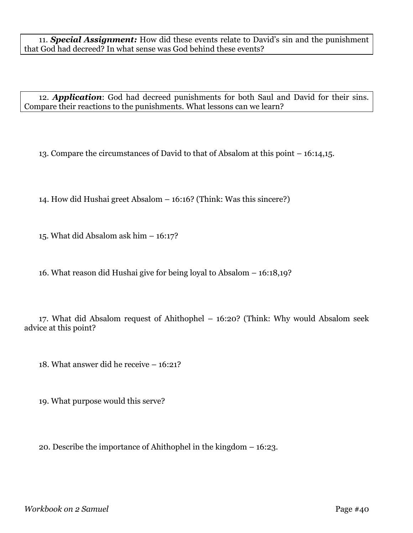11. *Special Assignment:* How did these events relate to David's sin and the punishment that God had decreed? In what sense was God behind these events?

12. *Application*: God had decreed punishments for both Saul and David for their sins. Compare their reactions to the punishments. What lessons can we learn?

13. Compare the circumstances of David to that of Absalom at this point – 16:14,15.

14. How did Hushai greet Absalom – 16:16? (Think: Was this sincere?)

15. What did Absalom ask him – 16:17?

16. What reason did Hushai give for being loyal to Absalom – 16:18,19?

17. What did Absalom request of Ahithophel – 16:20? (Think: Why would Absalom seek advice at this point?

18. What answer did he receive – 16:21?

19. What purpose would this serve?

20. Describe the importance of Ahithophel in the kingdom – 16:23.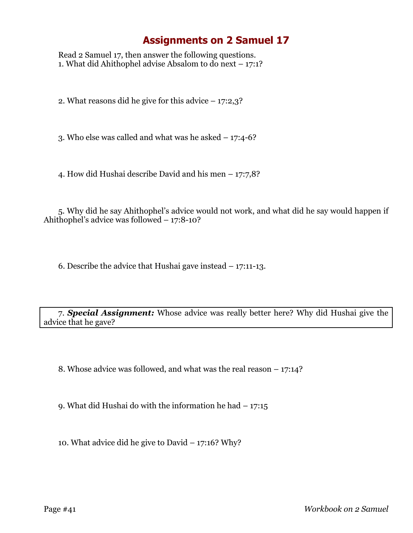Read 2 Samuel 17, then answer the following questions. 1. What did Ahithophel advise Absalom to do next – 17:1?

2. What reasons did he give for this advice  $-17:2,3$ ?

3. Who else was called and what was he asked  $-17:4-6?$ 

4. How did Hushai describe David and his men – 17:7,8?

5. Why did he say Ahithophel's advice would not work, and what did he say would happen if Ahithophel's advice was followed – 17:8-10?

6. Describe the advice that Hushai gave instead – 17:11-13.

7. *Special Assignment:* Whose advice was really better here? Why did Hushai give the advice that he gave?

8. Whose advice was followed, and what was the real reason – 17:14?

9. What did Hushai do with the information he had – 17:15

10. What advice did he give to David – 17:16? Why?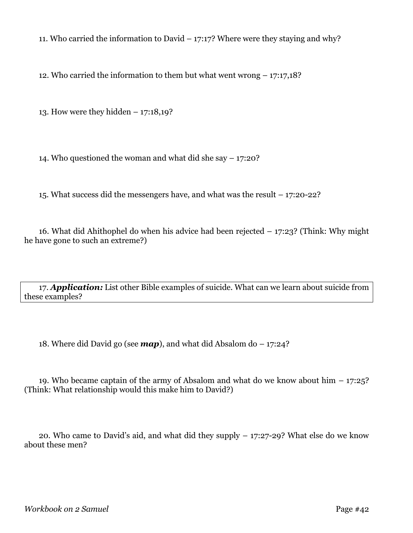11. Who carried the information to David  $-17:17$ ? Where were they staying and why?

12. Who carried the information to them but what went wrong – 17:17,18?

13. How were they hidden – 17:18,19?

14. Who questioned the woman and what did she say – 17:20?

15. What success did the messengers have, and what was the result – 17:20-22?

16. What did Ahithophel do when his advice had been rejected – 17:23? (Think: Why might he have gone to such an extreme?)

17. *Application:* List other Bible examples of suicide. What can we learn about suicide from these examples?

18. Where did David go (see  $map$ ), and what did Absalom do  $-17:24$ ?

19. Who became captain of the army of Absalom and what do we know about him – 17:25? (Think: What relationship would this make him to David?)

20. Who came to David's aid, and what did they supply – 17:27-29? What else do we know about these men?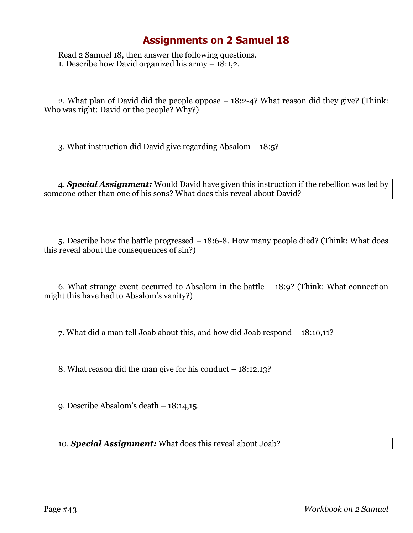Read 2 Samuel 18, then answer the following questions. 1. Describe how David organized his army – 18:1,2.

2. What plan of David did the people oppose – 18:2-4? What reason did they give? (Think: Who was right: David or the people? Why?)

3. What instruction did David give regarding Absalom – 18:5?

4. *Special Assignment:* Would David have given this instruction if the rebellion was led by someone other than one of his sons? What does this reveal about David?

5. Describe how the battle progressed – 18:6-8. How many people died? (Think: What does this reveal about the consequences of sin?)

6. What strange event occurred to Absalom in the battle – 18:9? (Think: What connection might this have had to Absalom's vanity?)

7. What did a man tell Joab about this, and how did Joab respond – 18:10,11?

8. What reason did the man give for his conduct – 18:12,13?

9. Describe Absalom's death – 18:14,15.

10. *Special Assignment:* What does this reveal about Joab?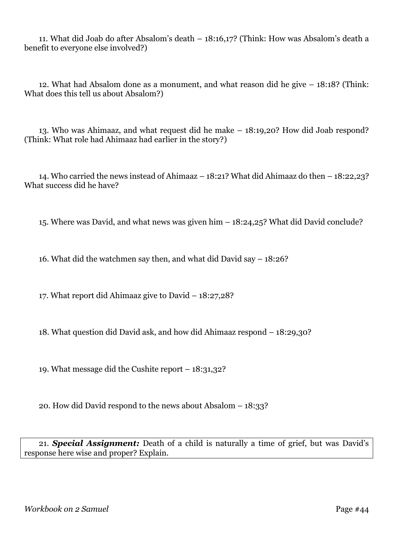11. What did Joab do after Absalom's death – 18:16,17? (Think: How was Absalom's death a benefit to everyone else involved?)

12. What had Absalom done as a monument, and what reason did he give – 18:18? (Think: What does this tell us about Absalom?)

13. Who was Ahimaaz, and what request did he make – 18:19,20? How did Joab respond? (Think: What role had Ahimaaz had earlier in the story?)

14. Who carried the news instead of Ahimaaz – 18:21? What did Ahimaaz do then – 18:22,23? What success did he have?

15. Where was David, and what news was given him – 18:24,25? What did David conclude?

16. What did the watchmen say then, and what did David say – 18:26?

17. What report did Ahimaaz give to David – 18:27,28?

18. What question did David ask, and how did Ahimaaz respond – 18:29,30?

19. What message did the Cushite report – 18:31,32?

20. How did David respond to the news about Absalom – 18:33?

21. *Special Assignment:* Death of a child is naturally a time of grief, but was David's response here wise and proper? Explain.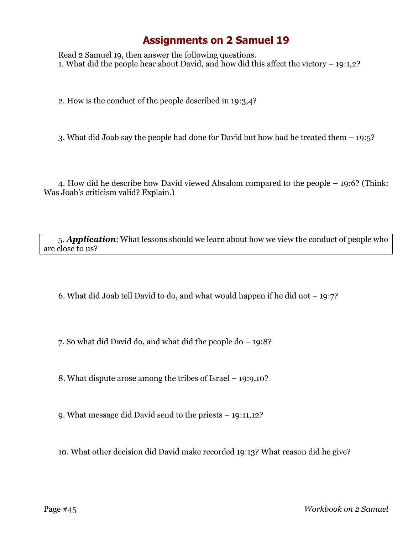Read 2 Samuel 19, then answer the following questions. 1. What did the people hear about David, and how did this affect the victory – 19:1,2?

2. How is the conduct of the people described in 19:3,4?

3. What did Joab say the people had done for David but how had he treated them – 19:5?

4. How did he describe how David viewed Absalom compared to the people – 19:6? (Think: Was Joab's criticism valid? Explain.)

5. *Application*: What lessons should we learn about how we view the conduct of people who are close to us?

6. What did Joab tell David to do, and what would happen if he did not – 19:7?

7. So what did David do, and what did the people do – 19:8?

8. What dispute arose among the tribes of Israel – 19:9,10?

9. What message did David send to the priests – 19:11,12?

10. What other decision did David make recorded 19:13? What reason did he give?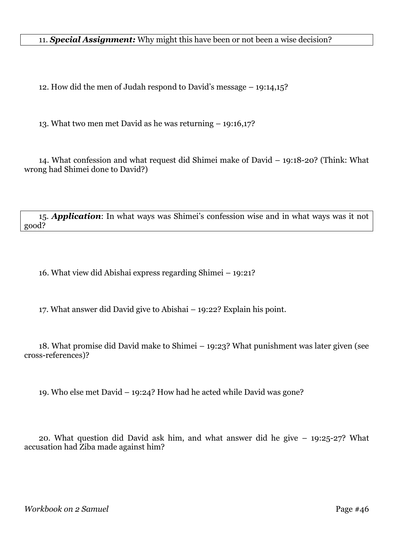11. *Special Assignment:* Why might this have been or not been a wise decision?

12. How did the men of Judah respond to David's message – 19:14,15?

13. What two men met David as he was returning – 19:16,17?

14. What confession and what request did Shimei make of David – 19:18-20? (Think: What wrong had Shimei done to David?)

15. *Application*: In what ways was Shimei's confession wise and in what ways was it not good?

16. What view did Abishai express regarding Shimei – 19:21?

17. What answer did David give to Abishai – 19:22? Explain his point.

18. What promise did David make to Shimei – 19:23? What punishment was later given (see cross-references)?

19. Who else met David – 19:24? How had he acted while David was gone?

20. What question did David ask him, and what answer did he give – 19:25-27? What accusation had Ziba made against him?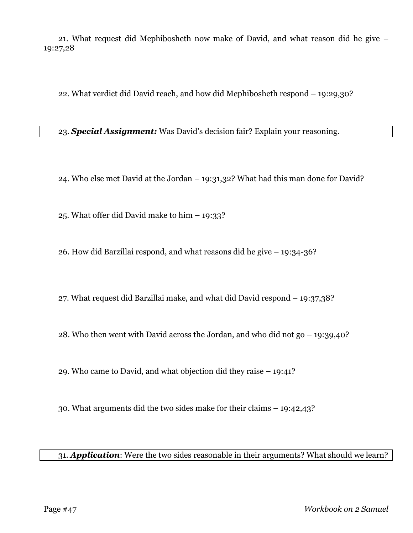21. What request did Mephibosheth now make of David, and what reason did he give – 19:27,28

22. What verdict did David reach, and how did Mephibosheth respond – 19:29,30?

23. *Special Assignment:* Was David's decision fair? Explain your reasoning.

24. Who else met David at the Jordan – 19:31,32? What had this man done for David?

25. What offer did David make to him – 19:33?

26. How did Barzillai respond, and what reasons did he give – 19:34-36?

27. What request did Barzillai make, and what did David respond – 19:37,38?

28. Who then went with David across the Jordan, and who did not go – 19:39,40?

29. Who came to David, and what objection did they raise – 19:41?

30. What arguments did the two sides make for their claims – 19:42,43?

31. *Application*: Were the two sides reasonable in their arguments? What should we learn?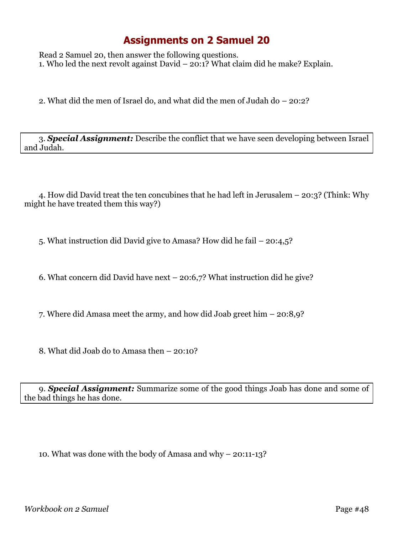Read 2 Samuel 20, then answer the following questions. 1. Who led the next revolt against David – 20:1? What claim did he make? Explain.

2. What did the men of Israel do, and what did the men of Judah do – 20:2?

3. *Special Assignment:* Describe the conflict that we have seen developing between Israel and Judah.

4. How did David treat the ten concubines that he had left in Jerusalem – 20:3? (Think: Why might he have treated them this way?)

5. What instruction did David give to Amasa? How did he fail – 20:4,5?

6. What concern did David have next – 20:6,7? What instruction did he give?

7. Where did Amasa meet the army, and how did Joab greet him – 20:8,9?

8. What did Joab do to Amasa then – 20:10?

9. *Special Assignment:* Summarize some of the good things Joab has done and some of the bad things he has done.

10. What was done with the body of Amasa and why – 20:11-13?

*Workbook on 2 Samuel* Page #48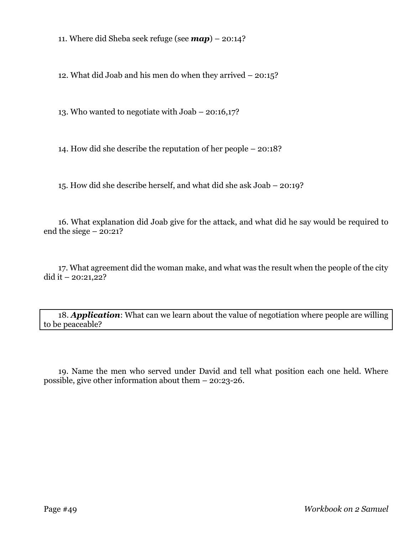11. Where did Sheba seek refuge (see *map*) – 20:14?

12. What did Joab and his men do when they arrived – 20:15?

13. Who wanted to negotiate with Joab – 20:16,17?

14. How did she describe the reputation of her people – 20:18?

15. How did she describe herself, and what did she ask Joab – 20:19?

16. What explanation did Joab give for the attack, and what did he say would be required to end the siege  $-20:21?$ 

17. What agreement did the woman make, and what was the result when the people of the city did it – 20:21,22?

18. *Application*: What can we learn about the value of negotiation where people are willing to be peaceable?

19. Name the men who served under David and tell what position each one held. Where possible, give other information about them – 20:23-26.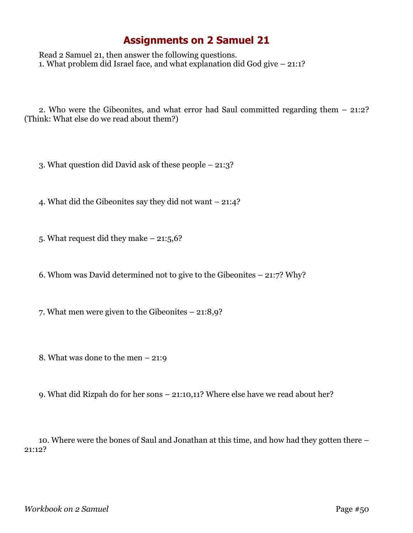Read 2 Samuel 21, then answer the following questions. 1. What problem did Israel face, and what explanation did God give – 21:1?

2. Who were the Gibeonites, and what error had Saul committed regarding them – 21:2? (Think: What else do we read about them?)

3. What question did David ask of these people – 21:3?

4. What did the Gibeonites say they did not want – 21:4?

5. What request did they make – 21:5,6?

6. Whom was David determined not to give to the Gibeonites – 21:7? Why?

7. What men were given to the Gibeonites – 21:8,9?

8. What was done to the men – 21:9

9. What did Rizpah do for her sons – 21:10,11? Where else have we read about her?

10. Where were the bones of Saul and Jonathan at this time, and how had they gotten there – 21:12?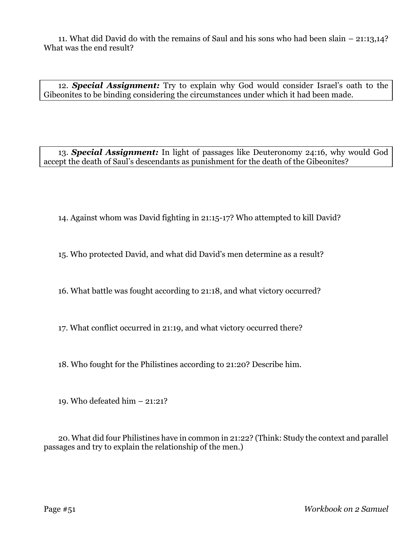11. What did David do with the remains of Saul and his sons who had been slain – 21:13,14? What was the end result?

12. *Special Assignment:* Try to explain why God would consider Israel's oath to the Gibeonites to be binding considering the circumstances under which it had been made.

13. *Special Assignment:* In light of passages like Deuteronomy 24:16, why would God accept the death of Saul's descendants as punishment for the death of the Gibeonites?

14. Against whom was David fighting in 21:15-17? Who attempted to kill David?

15. Who protected David, and what did David's men determine as a result?

16. What battle was fought according to 21:18, and what victory occurred?

17. What conflict occurred in 21:19, and what victory occurred there?

18. Who fought for the Philistines according to 21:20? Describe him.

19. Who defeated him – 21:21?

20. What did four Philistines have in common in 21:22? (Think: Study the context and parallel passages and try to explain the relationship of the men.)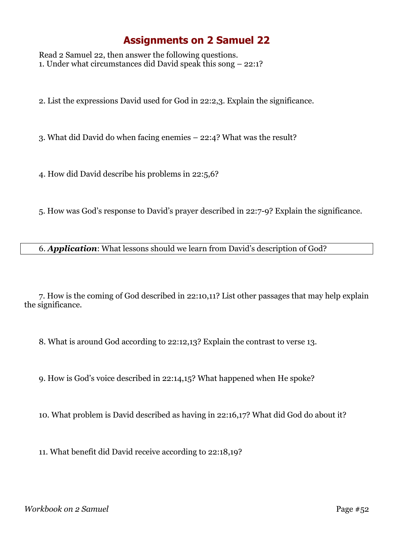Read 2 Samuel 22, then answer the following questions. 1. Under what circumstances did David speak this song – 22:1?

2. List the expressions David used for God in 22:2,3. Explain the significance.

3. What did David do when facing enemies – 22:4? What was the result?

4. How did David describe his problems in 22:5,6?

5. How was God's response to David's prayer described in 22:7-9? Explain the significance.

6. *Application*: What lessons should we learn from David's description of God?

7. How is the coming of God described in 22:10,11? List other passages that may help explain the significance.

8. What is around God according to 22:12,13? Explain the contrast to verse 13.

9. How is God's voice described in 22:14,15? What happened when He spoke?

10. What problem is David described as having in 22:16,17? What did God do about it?

11. What benefit did David receive according to 22:18,19?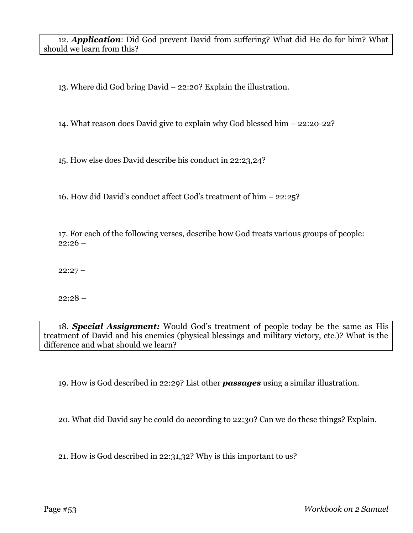12. *Application*: Did God prevent David from suffering? What did He do for him? What should we learn from this?

13. Where did God bring David – 22:20? Explain the illustration.

14. What reason does David give to explain why God blessed him – 22:20-22?

15. How else does David describe his conduct in 22:23,24?

16. How did David's conduct affect God's treatment of him – 22:25?

17. For each of the following verses, describe how God treats various groups of people:  $22:26 -$ 

 $22:27 -$ 

 $22:28 -$ 

18. *Special Assignment:* Would God's treatment of people today be the same as His treatment of David and his enemies (physical blessings and military victory, etc.)? What is the difference and what should we learn?

19. How is God described in 22:29? List other *passages* using a similar illustration.

20. What did David say he could do according to 22:30? Can we do these things? Explain.

21. How is God described in 22:31,32? Why is this important to us?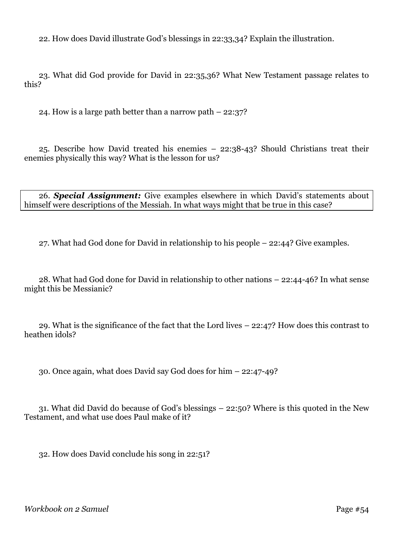22. How does David illustrate God's blessings in 22:33,34? Explain the illustration.

23. What did God provide for David in 22:35,36? What New Testament passage relates to this?

24. How is a large path better than a narrow path – 22:37?

25. Describe how David treated his enemies – 22:38-43? Should Christians treat their enemies physically this way? What is the lesson for us?

26. *Special Assignment:* Give examples elsewhere in which David's statements about himself were descriptions of the Messiah. In what ways might that be true in this case?

27. What had God done for David in relationship to his people – 22:44? Give examples.

28. What had God done for David in relationship to other nations – 22:44-46? In what sense might this be Messianic?

29. What is the significance of the fact that the Lord lives – 22:47? How does this contrast to heathen idols?

30. Once again, what does David say God does for him – 22:47-49?

31. What did David do because of God's blessings – 22:50? Where is this quoted in the New Testament, and what use does Paul make of it?

32. How does David conclude his song in 22:51?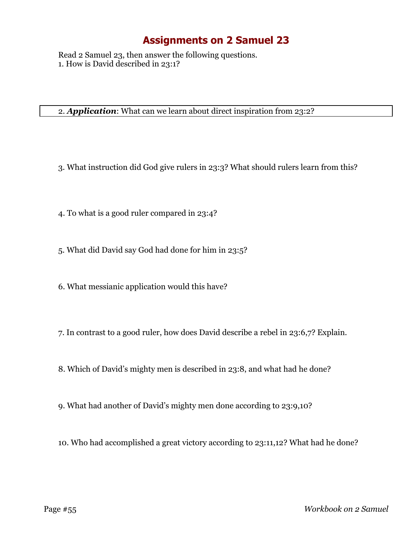Read 2 Samuel 23, then answer the following questions. 1. How is David described in 23:1?

2. *Application*: What can we learn about direct inspiration from 23:2?

- 3. What instruction did God give rulers in 23:3? What should rulers learn from this?
- 4. To what is a good ruler compared in 23:4?
- 5. What did David say God had done for him in 23:5?
- 6. What messianic application would this have?
- 7. In contrast to a good ruler, how does David describe a rebel in 23:6,7? Explain.
- 8. Which of David's mighty men is described in 23:8, and what had he done?
- 9. What had another of David's mighty men done according to 23:9,10?
- 10. Who had accomplished a great victory according to 23:11,12? What had he done?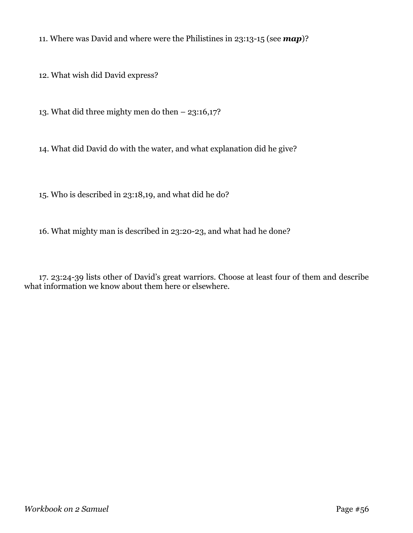11. Where was David and where were the Philistines in 23:13-15 (see *map*)?

12. What wish did David express?

13. What did three mighty men do then – 23:16,17?

14. What did David do with the water, and what explanation did he give?

15. Who is described in 23:18,19, and what did he do?

16. What mighty man is described in 23:20-23, and what had he done?

17. 23:24-39 lists other of David's great warriors. Choose at least four of them and describe what information we know about them here or elsewhere.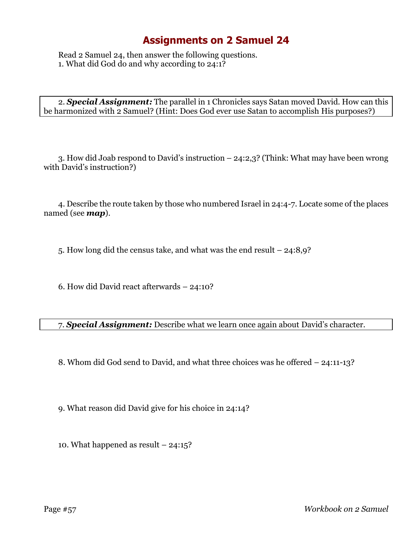Read 2 Samuel 24, then answer the following questions. 1. What did God do and why according to 24:1?

2. *Special Assignment:* The parallel in 1 Chronicles says Satan moved David. How can this be harmonized with 2 Samuel? (Hint: Does God ever use Satan to accomplish His purposes?)

3. How did Joab respond to David's instruction – 24:2,3? (Think: What may have been wrong with David's instruction?)

4. Describe the route taken by those who numbered Israel in 24:4-7. Locate some of the places named (see *map*).

5. How long did the census take, and what was the end result – 24:8,9?

6. How did David react afterwards – 24:10?

7. *Special Assignment:* Describe what we learn once again about David's character.

8. Whom did God send to David, and what three choices was he offered – 24:11-13?

9. What reason did David give for his choice in 24:14?

10. What happened as result – 24:15?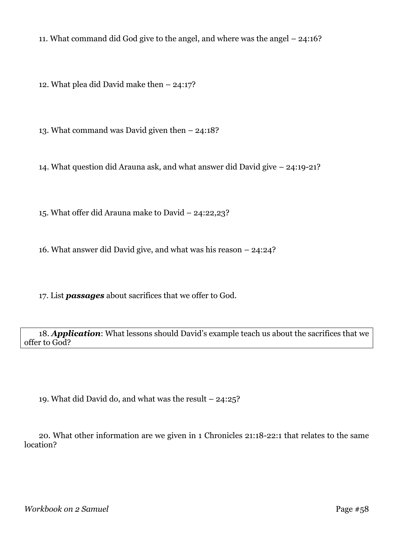11. What command did God give to the angel, and where was the angel – 24:16?

12. What plea did David make then – 24:17?

13. What command was David given then – 24:18?

14. What question did Arauna ask, and what answer did David give – 24:19-21?

15. What offer did Arauna make to David – 24:22,23?

16. What answer did David give, and what was his reason – 24:24?

17. List *passages* about sacrifices that we offer to God.

18. *Application*: What lessons should David's example teach us about the sacrifices that we offer to God?

19. What did David do, and what was the result – 24:25?

20. What other information are we given in 1 Chronicles 21:18-22:1 that relates to the same location?